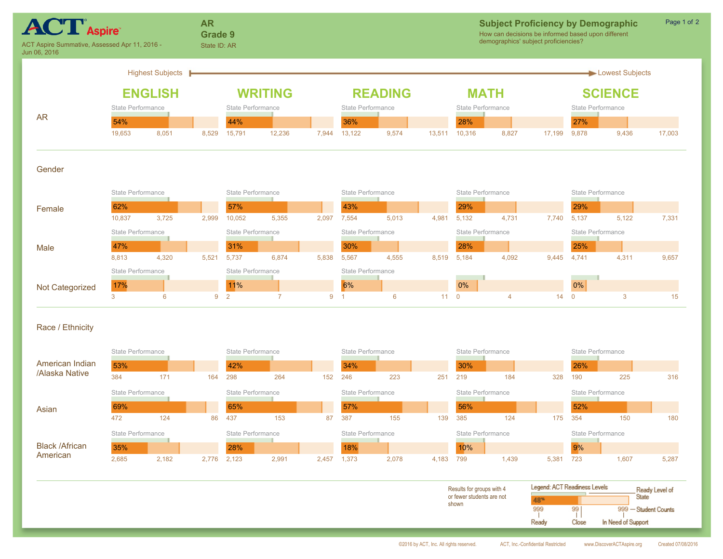